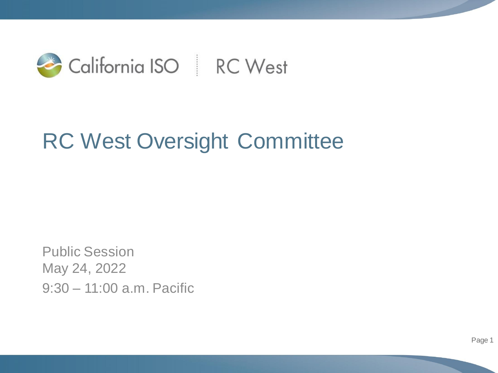

## RC West Oversight Committee

Public Session May 24, 2022 9:30 – 11:00 a.m. Pacific

Page 1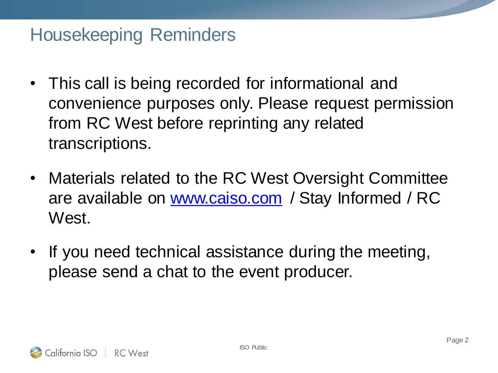## Housekeeping Reminders

- This call is being recorded for informational and convenience purposes only. Please request permission from RC West before reprinting any related transcriptions.
- Materials related to the RC West Oversight Committee are available on [www.caiso.com](http://www.caiso.com/) / Stay Informed / RC West.
- If you need technical assistance during the meeting, please send a chat to the event producer.

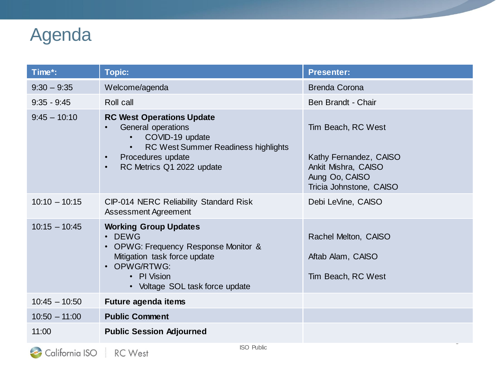## Agenda

| Time*:          | <b>Topic:</b>                                                                                                                                                                                                          | <b>Presenter:</b>                                                                                                |
|-----------------|------------------------------------------------------------------------------------------------------------------------------------------------------------------------------------------------------------------------|------------------------------------------------------------------------------------------------------------------|
| $9:30 - 9:35$   | Welcome/agenda                                                                                                                                                                                                         | <b>Brenda Corona</b>                                                                                             |
| $9:35 - 9:45$   | Roll call                                                                                                                                                                                                              | Ben Brandt - Chair                                                                                               |
| $9:45 - 10:10$  | <b>RC West Operations Update</b><br>General operations<br>$\bullet$<br>COVID-19 update<br>RC West Summer Readiness highlights<br>$\bullet$<br>Procedures update<br>$\bullet$<br>RC Metrics Q1 2022 update<br>$\bullet$ | Tim Beach, RC West<br>Kathy Fernandez, CAISO<br>Ankit Mishra, CAISO<br>Aung Oo, CAISO<br>Tricia Johnstone, CAISO |
| $10:10 - 10:15$ | CIP-014 NERC Reliability Standard Risk<br><b>Assessment Agreement</b>                                                                                                                                                  | Debi LeVine, CAISO                                                                                               |
| $10:15 - 10:45$ | <b>Working Group Updates</b><br>• DEWG<br>• OPWG: Frequency Response Monitor &<br>Mitigation task force update<br>• OPWG/RTWG:<br>• PI Vision<br>• Voltage SOL task force update                                       | Rachel Melton, CAISO<br>Aftab Alam, CAISO<br>Tim Beach, RC West                                                  |
| $10:45 - 10:50$ | Future agenda items                                                                                                                                                                                                    |                                                                                                                  |
| $10:50 - 11:00$ | <b>Public Comment</b>                                                                                                                                                                                                  |                                                                                                                  |
| 11:00           | <b>Public Session Adjourned</b>                                                                                                                                                                                        |                                                                                                                  |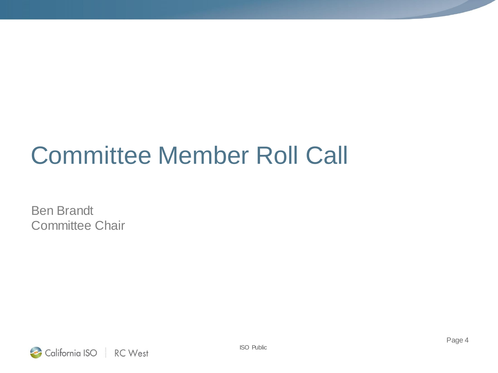## Committee Member Roll Call

Ben Brandt Committee Chair

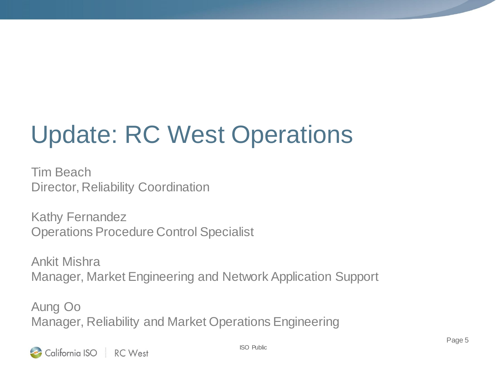# Update: RC West Operations

Tim Beach Director, Reliability Coordination

Kathy Fernandez Operations Procedure Control Specialist

Ankit Mishra Manager, Market Engineering and Network Application Support

Aung Oo Manager, Reliability and Market Operations Engineering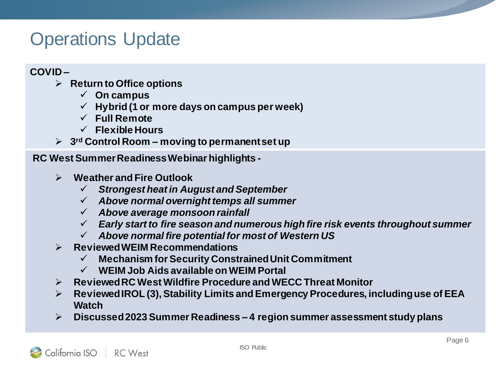### Operations Update

#### **COVID –**

- **Return to Office options**
	- **On campus**
	- **Hybrid (1 or more days on campus per week)**
	- **Full Remote**
	- **Flexible Hours**
- **3rd Control Room – moving to permanent set up**

**RC West Summer Readiness Webinar highlights -**

- **Weather and Fire Outlook**
	- *Strongest heat in August and September*
	- *Above normal overnight temps all summer*
	- *Above average monsoon rainfall*
	- *Early start to fire season and numerous high fire risk events throughout summer*
	- *Above normal fire potential for most of Western US*
- **Reviewed WEIM Recommendations**
	- **Mechanism for Security Constrained Unit Commitment**
	- **WEIM Job Aids available on WEIM Portal**
- **Reviewed RC West Wildfire Procedure and WECC Threat Monitor**
- **Reviewed IROL (3), Stability Limits and Emergency Procedures, including use of EEA Watch**
- **Discussed 2023 Summer Readiness – 4 region summer assessment study plans**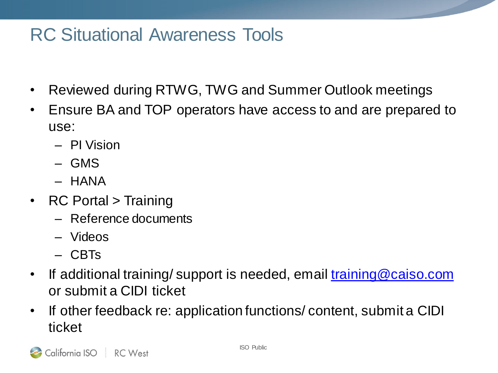### RC Situational Awareness Tools

- Reviewed during RTWG, TWG and Summer Outlook meetings
- Ensure BA and TOP operators have access to and are prepared to use:
	- PI Vision
	- GMS
	- HANA
- RC Portal > Training
	- Reference documents
	- Videos
	- CBTs
- If additional training/ support is needed, email [training@caiso.com](mailto:training@caiso.com) or submit a CIDI ticket
- If other feedback re: application functions/ content, submit a CIDI ticket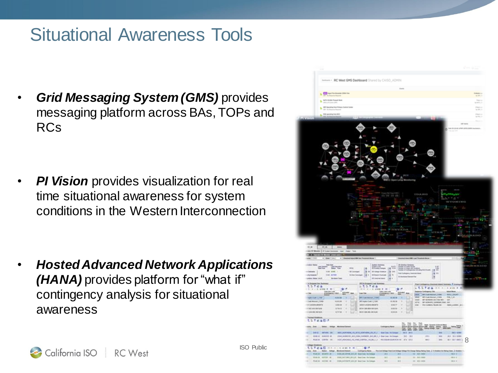### Situational Awareness Tools

• *Grid Messaging System (GMS)* provides messaging platform across BAs, TOPs and RCs

*PI Vision provides visualization for real* time situational awareness for system conditions in the Western Interconnection

• *Hosted Advanced Network Applications (HANA)* provides platform for "what if" contingency analysis for situational awareness



ISO Public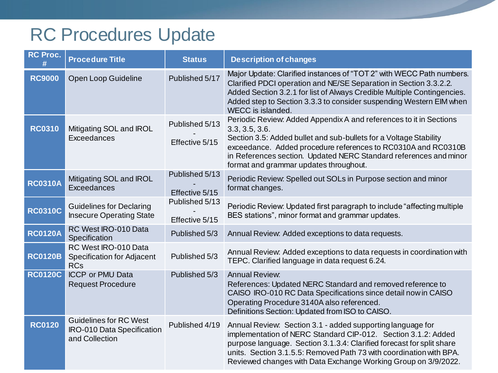## RC Procedures Update

| <b>RC Proc.</b> | <b>Procedure Title</b>                                                        | <b>Status</b>                    | <b>Description of changes</b>                                                                                                                                                                                                                                                                                                                 |
|-----------------|-------------------------------------------------------------------------------|----------------------------------|-----------------------------------------------------------------------------------------------------------------------------------------------------------------------------------------------------------------------------------------------------------------------------------------------------------------------------------------------|
| <b>RC9000</b>   | <b>Open Loop Guideline</b>                                                    | Published 5/17                   | Major Update: Clarified instances of "TOT 2" with WECC Path numbers.<br>Clarified PDCI operation and NE/SE Separation in Section 3.3.2.2.<br>Added Section 3.2.1 for list of Always Credible Multiple Contingencies.<br>Added step to Section 3.3.3 to consider suspending Western EIM when<br>WECC is islanded.                              |
| <b>RC0310</b>   | Mitigating SOL and IROL<br>Exceedances                                        | Published 5/13<br>Effective 5/15 | Periodic Review: Added Appendix A and references to it in Sections<br>3.3, 3.5, 3.6.<br>Section 3.5: Added bullet and sub-bullets for a Voltage Stability<br>exceedance. Added procedure references to RC0310A and RC0310B<br>in References section. Updated NERC Standard references and minor<br>format and grammar updates throughout.     |
| <b>RC0310A</b>  | Mitigating SOL and IROL<br>Exceedances                                        | Published 5/13<br>Effective 5/15 | Periodic Review: Spelled out SOLs in Purpose section and minor<br>format changes.                                                                                                                                                                                                                                                             |
| <b>RC0310C</b>  | <b>Guidelines for Declaring</b><br><b>Insecure Operating State</b>            | Published 5/13<br>Effective 5/15 | Periodic Review: Updated first paragraph to include "affecting multiple"<br>BES stations", minor format and grammar updates.                                                                                                                                                                                                                  |
| <b>RC0120A</b>  | RC West IRO-010 Data<br>Specification                                         | Published 5/3                    | Annual Review: Added exceptions to data requests.                                                                                                                                                                                                                                                                                             |
| <b>RC0120B</b>  | RC West IRO-010 Data<br><b>Specification for Adjacent</b><br><b>RCs</b>       | Published 5/3                    | Annual Review: Added exceptions to data requests in coordination with<br>TEPC. Clarified language in data request 6.24.                                                                                                                                                                                                                       |
| <b>RC0120C</b>  | <b>ICCP or PMU Data</b><br><b>Request Procedure</b>                           | Published 5/3                    | <b>Annual Review:</b><br>References: Updated NERC Standard and removed reference to<br>CAISO IRO-010 RC Data Specifications since detail now in CAISO<br>Operating Procedure 3140A also referenced.<br>Definitions Section: Updated from ISO to CAISO.                                                                                        |
| <b>RC0120</b>   | <b>Guidelines for RC West</b><br>IRO-010 Data Specification<br>and Collection | Published 4/19                   | Annual Review: Section 3.1 - added supporting language for<br>implementation of NERC Standard CIP-012. Section 3.1.2: Added<br>purpose language. Section 3.1.3.4: Clarified forecast for split share<br>units. Section 3.1.5.5: Removed Path 73 with coordination with BPA.<br>Reviewed changes with Data Exchange Working Group on 3/9/2022. |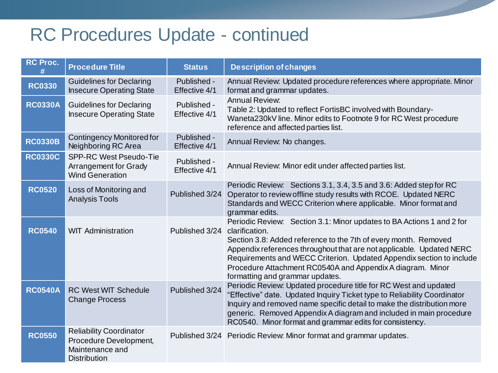## RC Procedures Update - continued

| <b>RC Proc.</b> | <b>Procedure Title</b>                                                                             | <b>Status</b>                | <b>Description of changes</b>                                                                                                                                                                                                                                                                                                                                                                               |
|-----------------|----------------------------------------------------------------------------------------------------|------------------------------|-------------------------------------------------------------------------------------------------------------------------------------------------------------------------------------------------------------------------------------------------------------------------------------------------------------------------------------------------------------------------------------------------------------|
| <b>RC0330</b>   | <b>Guidelines for Declaring</b><br><b>Insecure Operating State</b>                                 | Published -<br>Effective 4/1 | Annual Review: Updated procedure references where appropriate. Minor<br>format and grammar updates.                                                                                                                                                                                                                                                                                                         |
| <b>RC0330A</b>  | <b>Guidelines for Declaring</b><br><b>Insecure Operating State</b>                                 | Published -<br>Effective 4/1 | <b>Annual Review:</b><br>Table 2: Updated to reflect FortisBC involved with Boundary-<br>Waneta230kV line. Minor edits to Footnote 9 for RC West procedure<br>reference and affected parties list.                                                                                                                                                                                                          |
| <b>RC0330B</b>  | <b>Contingency Monitored for</b><br>Neighboring RC Area                                            | Published -<br>Effective 4/1 | Annual Review: No changes.                                                                                                                                                                                                                                                                                                                                                                                  |
| <b>RC0330C</b>  | <b>SPP-RC West Pseudo-Tie</b><br>Arrangement for Grady<br><b>Wind Generation</b>                   | Published -<br>Effective 4/1 | Annual Review: Minor edit under affected parties list.                                                                                                                                                                                                                                                                                                                                                      |
| <b>RC0520</b>   | Loss of Monitoring and<br><b>Analysis Tools</b>                                                    | Published 3/24               | Periodic Review: Sections 3.1, 3.4, 3.5 and 3.6: Added step for RC<br>Operator to review offline study results with RCOE. Updated NERC<br>Standards and WECC Criterion where applicable. Minor format and<br>grammar edits.                                                                                                                                                                                 |
| <b>RC0540</b>   | <b>WIT Administration</b>                                                                          | Published 3/24               | Periodic Review: Section 3.1: Minor updates to BA Actions 1 and 2 for<br>clarification.<br>Section 3.8: Added reference to the 7th of every month. Removed<br>Appendix references throughout that are not applicable. Updated NERC<br>Requirements and WECC Criterion. Updated Appendix section to include<br>Procedure Attachment RC0540A and Appendix A diagram. Minor<br>formatting and grammar updates. |
| <b>RC0540A</b>  | <b>RC West WIT Schedule</b><br><b>Change Process</b>                                               | Published 3/24               | Periodic Review: Updated procedure title for RC West and updated<br>"Effective" date. Updated Inquiry Ticket type to Reliability Coordinator<br>Inquiry and removed name specific detail to make the distribution more<br>generic. Removed Appendix A diagram and included in main procedure<br>RC0540. Minor format and grammar edits for consistency.                                                     |
| <b>RC0550</b>   | <b>Reliability Coordinator</b><br>Procedure Development,<br>Maintenance and<br><b>Distribution</b> | Published 3/24               | Periodic Review: Minor format and grammar updates.                                                                                                                                                                                                                                                                                                                                                          |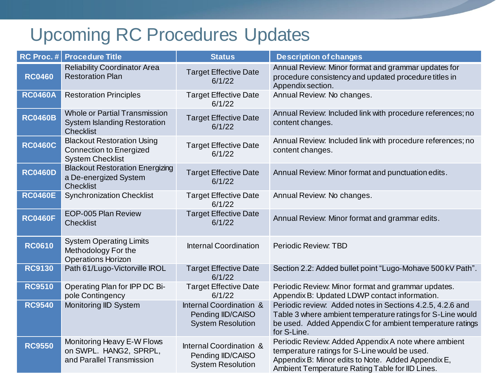## Upcoming RC Procedures Updates

| RC Proc.#      | <b>Procedure Title</b>                                                                          | <b>Status</b>                                                            | <b>Description of changes</b>                                                                                                                                                                                  |
|----------------|-------------------------------------------------------------------------------------------------|--------------------------------------------------------------------------|----------------------------------------------------------------------------------------------------------------------------------------------------------------------------------------------------------------|
| <b>RC0460</b>  | <b>Reliability Coordinator Area</b><br><b>Restoration Plan</b>                                  | <b>Target Effective Date</b><br>6/1/22                                   | Annual Review: Minor format and grammar updates for<br>procedure consistency and updated procedure titles in<br>Appendix section.                                                                              |
| <b>RC0460A</b> | <b>Restoration Principles</b>                                                                   | <b>Target Effective Date</b><br>6/1/22                                   | Annual Review: No changes.                                                                                                                                                                                     |
| <b>RC0460B</b> | <b>Whole or Partial Transmission</b><br><b>System Islanding Restoration</b><br><b>Checklist</b> | <b>Target Effective Date</b><br>6/1/22                                   | Annual Review: Included link with procedure references; no<br>content changes.                                                                                                                                 |
| <b>RC0460C</b> | <b>Blackout Restoration Using</b><br><b>Connection to Energized</b><br><b>System Checklist</b>  | <b>Target Effective Date</b><br>6/1/22                                   | Annual Review: Included link with procedure references; no<br>content changes.                                                                                                                                 |
| <b>RC0460D</b> | <b>Blackout Restoration Energizing</b><br>a De-energized System<br><b>Checklist</b>             | <b>Target Effective Date</b><br>6/1/22                                   | Annual Review: Minor format and punctuation edits.                                                                                                                                                             |
| <b>RC0460E</b> | <b>Synchronization Checklist</b>                                                                | <b>Target Effective Date</b><br>6/1/22                                   | Annual Review: No changes.                                                                                                                                                                                     |
| <b>RC0460F</b> | EOP-005 Plan Review<br><b>Checklist</b>                                                         | <b>Target Effective Date</b><br>6/1/22                                   | Annual Review: Minor format and grammar edits.                                                                                                                                                                 |
| <b>RC0610</b>  | <b>System Operating Limits</b><br>Methodology For the<br><b>Operations Horizon</b>              | <b>Internal Coordination</b>                                             | Periodic Review: TBD                                                                                                                                                                                           |
| <b>RC9130</b>  | Path 61/Lugo-Victorville IROL                                                                   | <b>Target Effective Date</b><br>6/1/22                                   | Section 2.2: Added bullet point "Lugo-Mohave 500 kV Path".                                                                                                                                                     |
| <b>RC9510</b>  | Operating Plan for IPP DC Bi-<br>pole Contingency                                               | <b>Target Effective Date</b><br>6/1/22                                   | Periodic Review: Minor format and grammar updates.<br>Appendix B: Updated LDWP contact information.                                                                                                            |
| <b>RC9540</b>  | Monitoring IID System                                                                           | Internal Coordination &<br>Pending IID/CAISO<br><b>System Resolution</b> | Periodic review: Added notes in Sections 4.2.5, 4.2.6 and<br>Table 3 where ambient temperature ratings for S-Line would<br>be used. Added Appendix C for ambient temperature ratings<br>for S-Line.            |
| <b>RC9550</b>  | Monitoring Heavy E-W Flows<br>on SWPL. HANG2, SPRPL,<br>and Parallel Transmission               | Internal Coordination &<br>Pending IID/CAISO<br><b>System Resolution</b> | Periodic Review: Added Appendix A note where ambient<br>temperature ratings for S-Line would be used.<br>Appendix B: Minor edits to Note. Added Appendix E,<br>Ambient Temperature Rating Table for IID Lines. |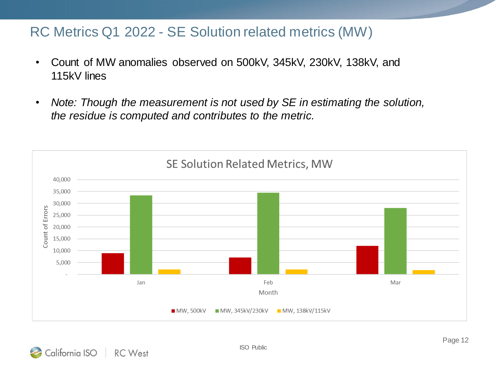#### RC Metrics Q1 2022 - SE Solution related metrics (MW)

- Count of MW anomalies observed on 500kV, 345kV, 230kV, 138kV, and 115kV lines
- *Note: Though the measurement is not used by SE in estimating the solution, the residue is computed and contributes to the metric.*

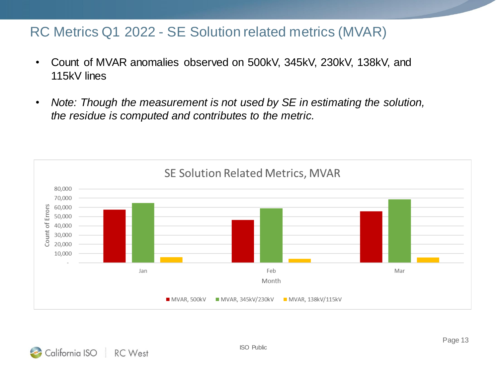#### RC Metrics Q1 2022 - SE Solution related metrics (MVAR)

- Count of MVAR anomalies observed on 500kV, 345kV, 230kV, 138kV, and 115kV lines
- *Note: Though the measurement is not used by SE in estimating the solution, the residue is computed and contributes to the metric.*

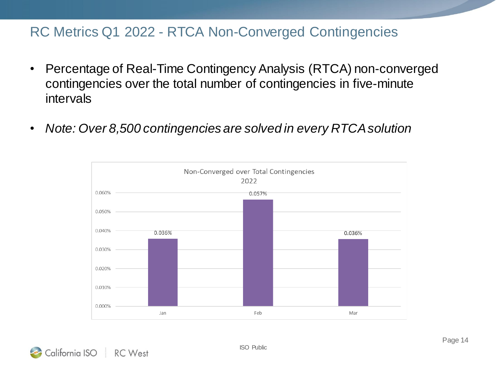#### RC Metrics Q1 2022 - RTCA Non-Converged Contingencies

- Percentage of Real-Time Contingency Analysis (RTCA) non-converged contingencies over the total number of contingencies in five-minute intervals
- *Note: Over 8,500 contingencies are solved in every RTCA solution*



California ISO **RC** West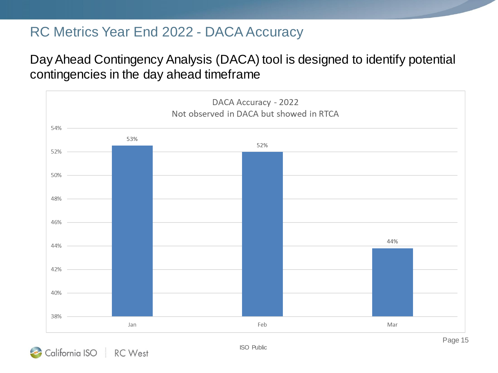#### RC Metrics Year End 2022 - DACA Accuracy

#### Day Ahead Contingency Analysis (DACA) tool is designed to identify potential contingencies in the day ahead timeframe



California ISO RC West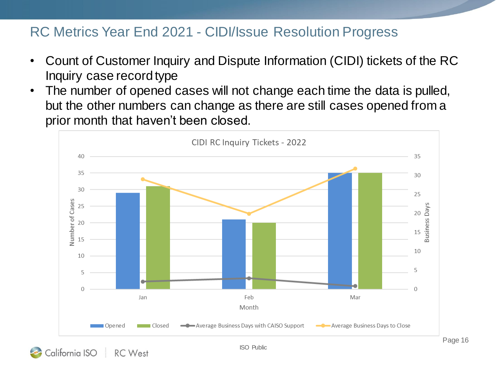#### RC Metrics Year End 2021 - CIDI/Issue Resolution Progress

- Count of Customer Inquiry and Dispute Information (CIDI) tickets of the RC Inquiry case record type
- The number of opened cases will not change each time the data is pulled, but the other numbers can change as there are still cases opened from a prior month that haven't been closed.

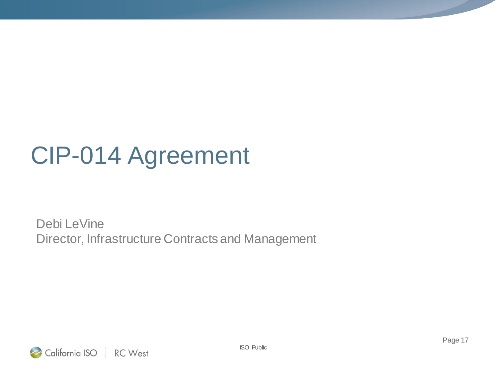## CIP-014 Agreement

Debi LeVine Director, Infrastructure Contracts and Management

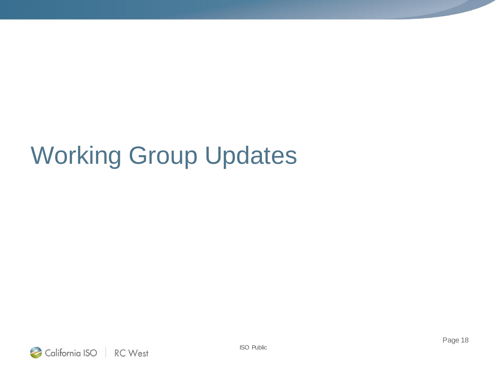## Working Group Updates

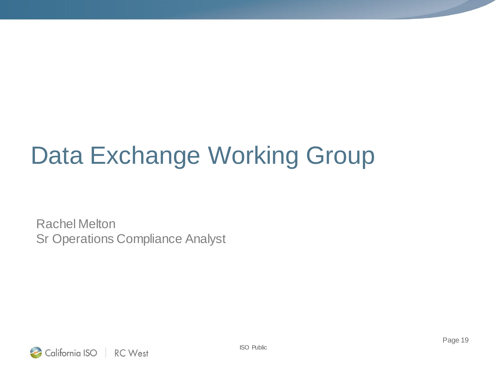# Data Exchange Working Group

Rachel Melton Sr Operations Compliance Analyst

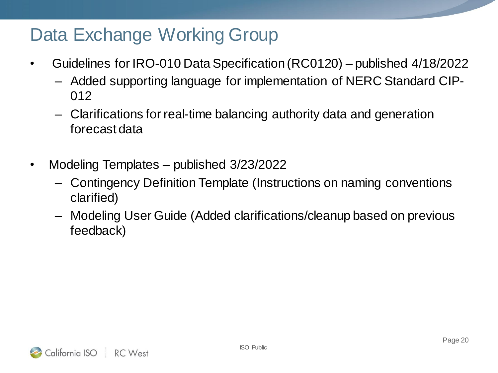## Data Exchange Working Group

- Guidelines for IRO-010 Data Specification (RC0120) published 4/18/2022
	- Added supporting language for implementation of NERC Standard CIP-012
	- Clarifications for real-time balancing authority data and generation forecast data
- Modeling Templates published 3/23/2022
	- Contingency Definition Template (Instructions on naming conventions clarified)
	- Modeling User Guide (Added clarifications/cleanup based on previous feedback)

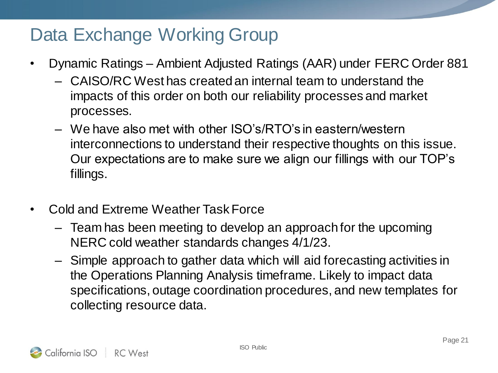## Data Exchange Working Group

- Dynamic Ratings Ambient Adjusted Ratings (AAR) under FERC Order 881
	- CAISO/RC West has created an internal team to understand the impacts of this order on both our reliability processes and market processes.
	- We have also met with other ISO's/RTO's in eastern/western interconnections to understand their respective thoughts on this issue. Our expectations are to make sure we align our fillings with our TOP's fillings.
- Cold and Extreme Weather Task Force
	- Team has been meeting to develop an approach for the upcoming NERC cold weather standards changes 4/1/23.
	- Simple approach to gather data which will aid forecasting activities in the Operations Planning Analysis timeframe. Likely to impact data specifications, outage coordination procedures, and new templates for collecting resource data.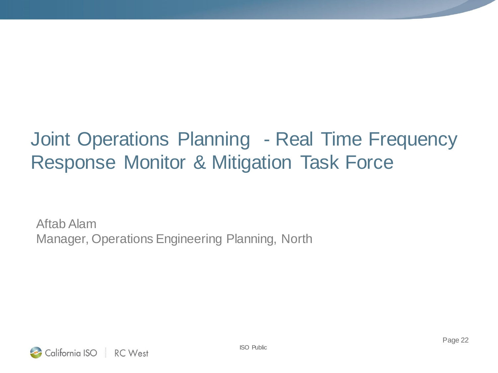## Joint Operations Planning - Real Time Frequency Response Monitor & Mitigation Task Force

Aftab Alam Manager, Operations Engineering Planning, North

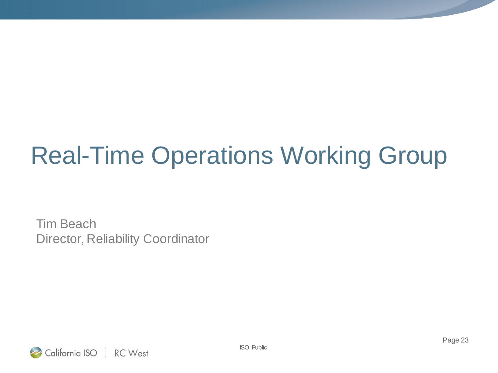# Real-Time Operations Working Group

Tim Beach Director, Reliability Coordinator

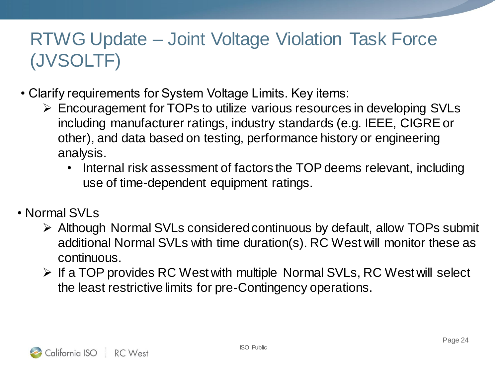## RTWG Update – Joint Voltage Violation Task Force (JVSOLTF)

- Clarify requirements for System Voltage Limits. Key items:
	- Encouragement for TOPs to utilize various resources in developing SVLs including manufacturer ratings, industry standards (e.g. IEEE, CIGRE or other), and data based on testing, performance history or engineering analysis.
		- Internal risk assessment of factors the TOP deems relevant, including use of time-dependent equipment ratings.
- Normal SVI s
	- Although Normal SVLs considered continuous by default, allow TOPs submit additional Normal SVLs with time duration(s). RC West will monitor these as continuous.
	- $\triangleright$  If a TOP provides RC West with multiple Normal SVLs, RC West will select the least restrictive limits for pre-Contingency operations.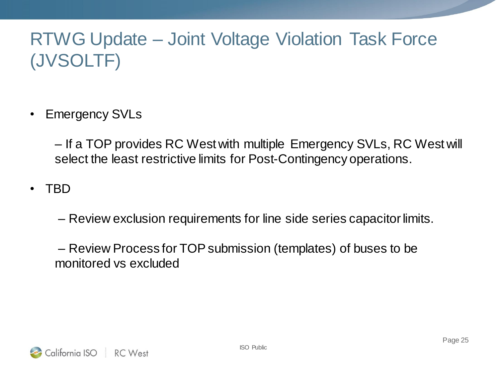## RTWG Update – Joint Voltage Violation Task Force (JVSOLTF)

• Emergency SVLs

– If a TOP provides RC West with multiple Emergency SVLs, RC West will select the least restrictive limits for Post-Contingency operations.

• TBD

– Review exclusion requirements for line side series capacitor limits.

– Review Process for TOP submission (templates) of buses to be monitored vs excluded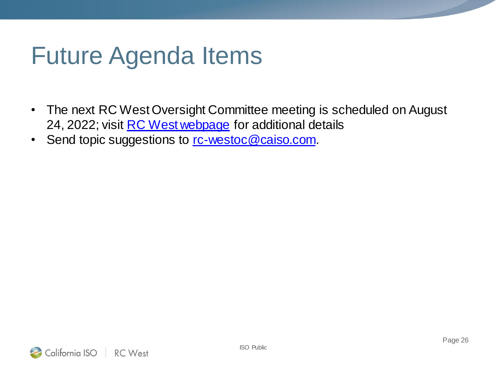## Future Agenda Items

- The next RC West Oversight Committee meeting is scheduled on August 24, 2022; visit [RC West webpage](http://www.caiso.com/informed/Pages/RCWest/Default.aspx) for additional details
- Send topic suggestions to [rc-westoc@caiso.com.](mailto:rc-westoc@caiso.com)

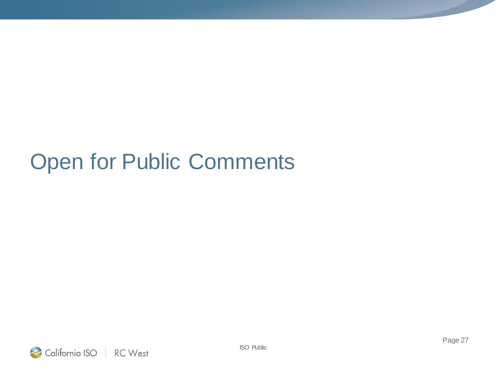## Open for Public Comments